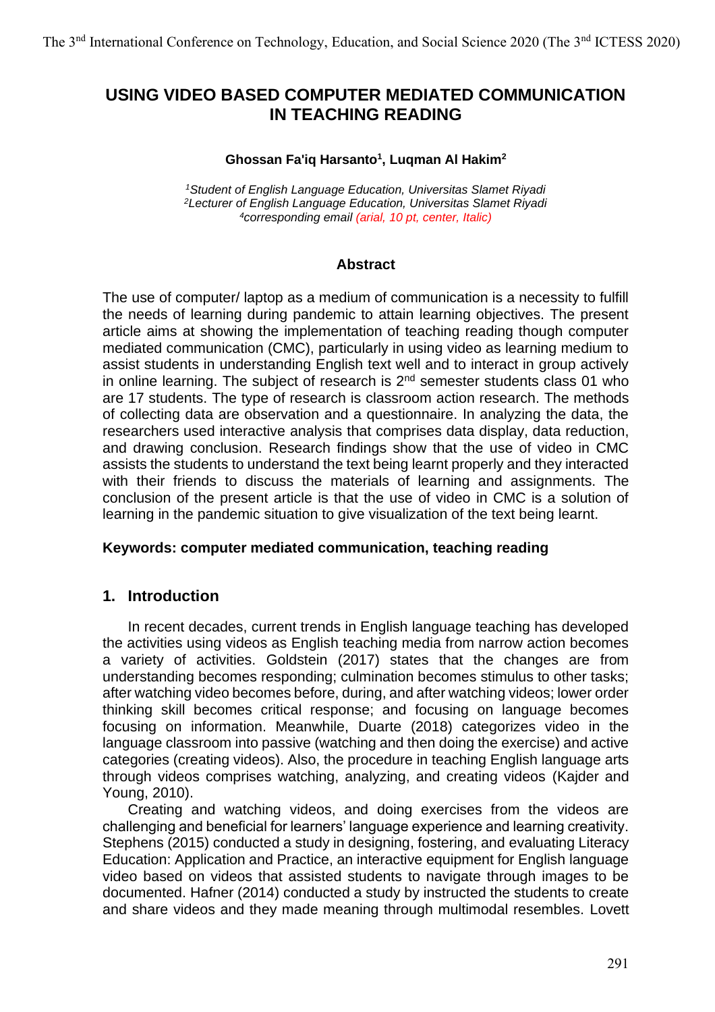# **USING VIDEO BASED COMPUTER MEDIATED COMMUNICATION IN TEACHING READING**

#### **Ghossan Fa'iq Harsanto<sup>1</sup> , Luqman Al Hakim<sup>2</sup>**

*<sup>1</sup>Student of English Language Education, Universitas Slamet Riyadi <sup>2</sup>Lecturer of English Language Education, Universitas Slamet Riyadi <sup>4</sup>corresponding email (arial, 10 pt, center, Italic)*

### **Abstract**

The use of computer/ laptop as a medium of communication is a necessity to fulfill the needs of learning during pandemic to attain learning objectives. The present article aims at showing the implementation of teaching reading though computer mediated communication (CMC), particularly in using video as learning medium to assist students in understanding English text well and to interact in group actively in online learning. The subject of research is  $2<sup>nd</sup>$  semester students class 01 who are 17 students. The type of research is classroom action research. The methods of collecting data are observation and a questionnaire. In analyzing the data, the researchers used interactive analysis that comprises data display, data reduction, and drawing conclusion. Research findings show that the use of video in CMC assists the students to understand the text being learnt properly and they interacted with their friends to discuss the materials of learning and assignments. The conclusion of the present article is that the use of video in CMC is a solution of learning in the pandemic situation to give visualization of the text being learnt.

### **Keywords: computer mediated communication, teaching reading**

## **1. Introduction**

In recent decades, current trends in English language teaching has developed the activities using videos as English teaching media from narrow action becomes a variety of activities. Goldstein (2017) states that the changes are from understanding becomes responding; culmination becomes stimulus to other tasks; after watching video becomes before, during, and after watching videos; lower order thinking skill becomes critical response; and focusing on language becomes focusing on information. Meanwhile, Duarte (2018) categorizes video in the language classroom into passive (watching and then doing the exercise) and active categories (creating videos). Also, the procedure in teaching English language arts through videos comprises watching, analyzing, and creating videos (Kajder and Young, 2010).

Creating and watching videos, and doing exercises from the videos are challenging and beneficial for learners' language experience and learning creativity. Stephens (2015) conducted a study in designing, fostering, and evaluating Literacy Education: Application and Practice, an interactive equipment for English language video based on videos that assisted students to navigate through images to be documented. Hafner (2014) conducted a study by instructed the students to create and share videos and they made meaning through multimodal resembles. Lovett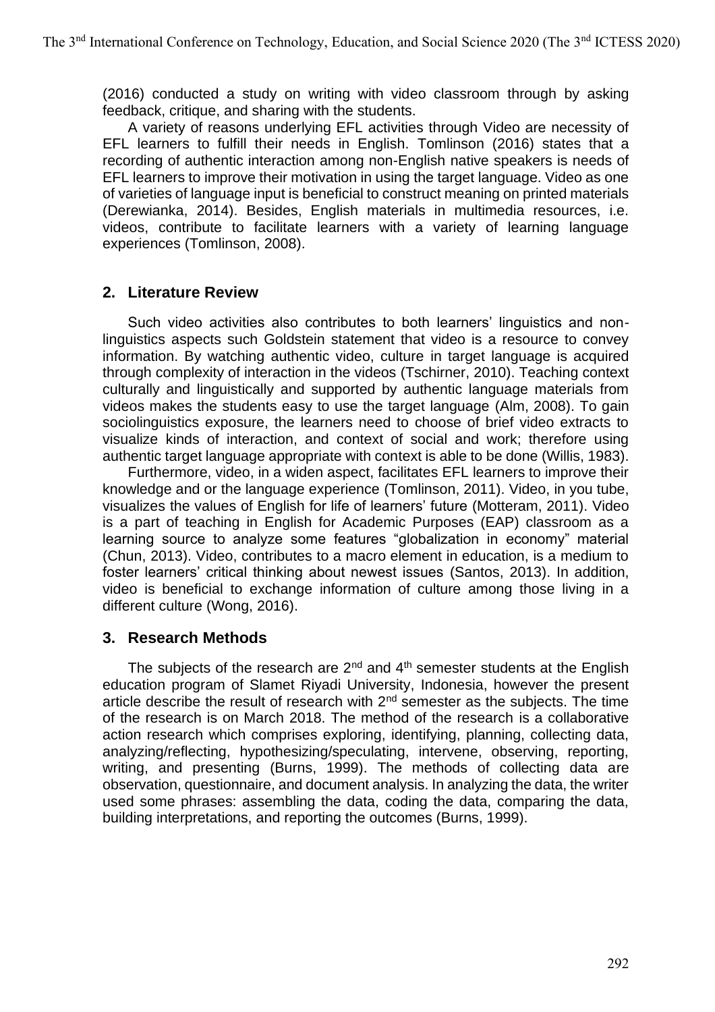(2016) conducted a study on writing with video classroom through by asking feedback, critique, and sharing with the students.

A variety of reasons underlying EFL activities through Video are necessity of EFL learners to fulfill their needs in English. Tomlinson (2016) states that a recording of authentic interaction among non-English native speakers is needs of EFL learners to improve their motivation in using the target language. Video as one of varieties of language input is beneficial to construct meaning on printed materials (Derewianka, 2014). Besides, English materials in multimedia resources, i.e. videos, contribute to facilitate learners with a variety of learning language experiences (Tomlinson, 2008).

## **2. Literature Review**

Such video activities also contributes to both learners' linguistics and nonlinguistics aspects such Goldstein statement that video is a resource to convey information. By watching authentic video, culture in target language is acquired through complexity of interaction in the videos (Tschirner, 2010). Teaching context culturally and linguistically and supported by authentic language materials from videos makes the students easy to use the target language (Alm, 2008). To gain sociolinguistics exposure, the learners need to choose of brief video extracts to visualize kinds of interaction, and context of social and work; therefore using authentic target language appropriate with context is able to be done (Willis, 1983).

Furthermore, video, in a widen aspect, facilitates EFL learners to improve their knowledge and or the language experience (Tomlinson, 2011). Video, in you tube, visualizes the values of English for life of learners' future (Motteram, 2011). Video is a part of teaching in English for Academic Purposes (EAP) classroom as a learning source to analyze some features "globalization in economy" material (Chun, 2013). Video, contributes to a macro element in education, is a medium to foster learners' critical thinking about newest issues (Santos, 2013). In addition, video is beneficial to exchange information of culture among those living in a different culture (Wong, 2016).

## **3. Research Methods**

The subjects of the research are  $2^{nd}$  and  $4^{th}$  semester students at the English education program of Slamet Riyadi University, Indonesia, however the present article describe the result of research with  $2<sup>nd</sup>$  semester as the subjects. The time of the research is on March 2018. The method of the research is a collaborative action research which comprises exploring, identifying, planning, collecting data, analyzing/reflecting, hypothesizing/speculating, intervene, observing, reporting, writing, and presenting (Burns, 1999). The methods of collecting data are observation, questionnaire, and document analysis. In analyzing the data, the writer used some phrases: assembling the data, coding the data, comparing the data, building interpretations, and reporting the outcomes (Burns, 1999).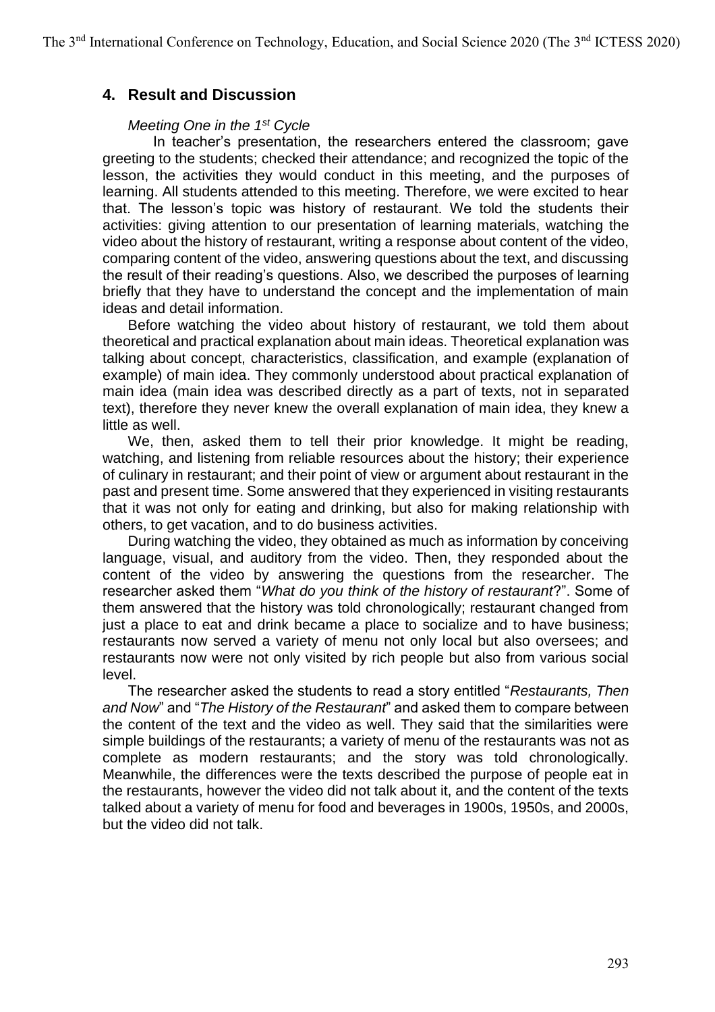## **4. Result and Discussion**

### *Meeting One in the 1st Cycle*

In teacher's presentation, the researchers entered the classroom; gave greeting to the students; checked their attendance; and recognized the topic of the lesson, the activities they would conduct in this meeting, and the purposes of learning. All students attended to this meeting. Therefore, we were excited to hear that. The lesson's topic was history of restaurant. We told the students their activities: giving attention to our presentation of learning materials, watching the video about the history of restaurant, writing a response about content of the video, comparing content of the video, answering questions about the text, and discussing the result of their reading's questions. Also, we described the purposes of learning briefly that they have to understand the concept and the implementation of main ideas and detail information.

Before watching the video about history of restaurant, we told them about theoretical and practical explanation about main ideas. Theoretical explanation was talking about concept, characteristics, classification, and example (explanation of example) of main idea. They commonly understood about practical explanation of main idea (main idea was described directly as a part of texts, not in separated text), therefore they never knew the overall explanation of main idea, they knew a little as well.

We, then, asked them to tell their prior knowledge. It might be reading, watching, and listening from reliable resources about the history; their experience of culinary in restaurant; and their point of view or argument about restaurant in the past and present time. Some answered that they experienced in visiting restaurants that it was not only for eating and drinking, but also for making relationship with others, to get vacation, and to do business activities.

During watching the video, they obtained as much as information by conceiving language, visual, and auditory from the video. Then, they responded about the content of the video by answering the questions from the researcher. The researcher asked them "*What do you think of the history of restaurant*?". Some of them answered that the history was told chronologically; restaurant changed from just a place to eat and drink became a place to socialize and to have business; restaurants now served a variety of menu not only local but also oversees; and restaurants now were not only visited by rich people but also from various social level.

The researcher asked the students to read a story entitled "*Restaurants, Then and Now*" and "*The History of the Restaurant*" and asked them to compare between the content of the text and the video as well. They said that the similarities were simple buildings of the restaurants; a variety of menu of the restaurants was not as complete as modern restaurants; and the story was told chronologically. Meanwhile, the differences were the texts described the purpose of people eat in the restaurants, however the video did not talk about it, and the content of the texts talked about a variety of menu for food and beverages in 1900s, 1950s, and 2000s, but the video did not talk.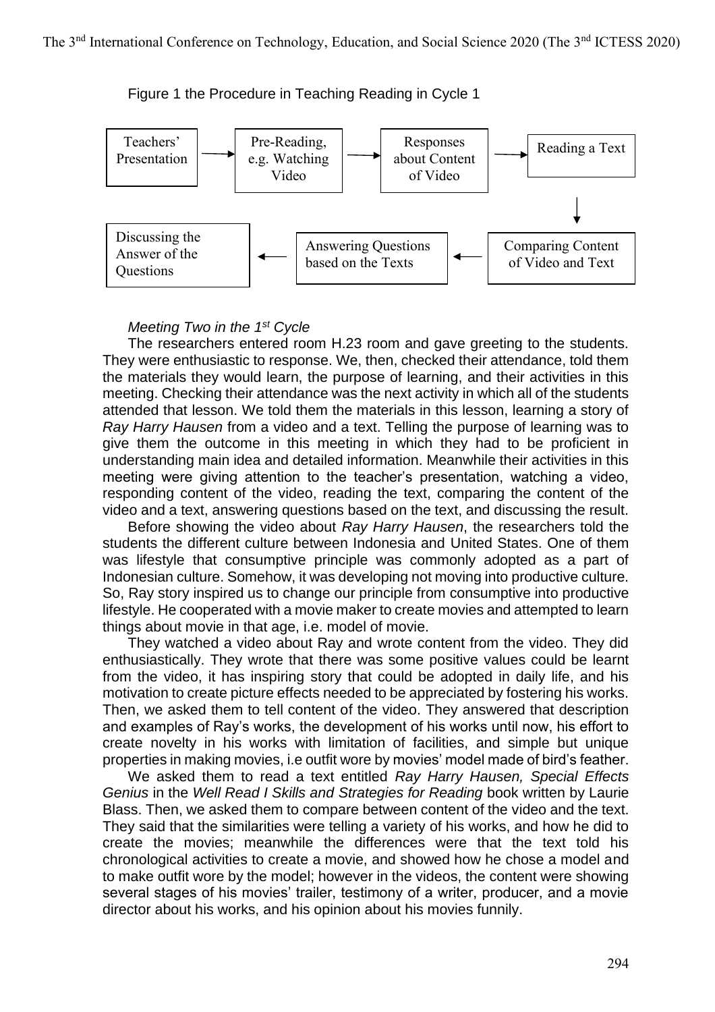Figure 1 the Procedure in Teaching Reading in Cycle 1



#### *Meeting Two in the 1st Cycle*

The researchers entered room H.23 room and gave greeting to the students. They were enthusiastic to response. We, then, checked their attendance, told them the materials they would learn, the purpose of learning, and their activities in this meeting. Checking their attendance was the next activity in which all of the students attended that lesson. We told them the materials in this lesson, learning a story of *Ray Harry Hausen* from a video and a text. Telling the purpose of learning was to give them the outcome in this meeting in which they had to be proficient in understanding main idea and detailed information. Meanwhile their activities in this meeting were giving attention to the teacher's presentation, watching a video, responding content of the video, reading the text, comparing the content of the video and a text, answering questions based on the text, and discussing the result.

Before showing the video about *Ray Harry Hausen*, the researchers told the students the different culture between Indonesia and United States. One of them was lifestyle that consumptive principle was commonly adopted as a part of Indonesian culture. Somehow, it was developing not moving into productive culture. So, Ray story inspired us to change our principle from consumptive into productive lifestyle. He cooperated with a movie maker to create movies and attempted to learn things about movie in that age, i.e. model of movie.

They watched a video about Ray and wrote content from the video. They did enthusiastically. They wrote that there was some positive values could be learnt from the video, it has inspiring story that could be adopted in daily life, and his motivation to create picture effects needed to be appreciated by fostering his works. Then, we asked them to tell content of the video. They answered that description and examples of Ray's works, the development of his works until now, his effort to create novelty in his works with limitation of facilities, and simple but unique properties in making movies, i.e outfit wore by movies' model made of bird's feather.

We asked them to read a text entitled *Ray Harry Hausen, Special Effects Genius* in the *Well Read I Skills and Strategies for Reading* book written by Laurie Blass. Then, we asked them to compare between content of the video and the text. They said that the similarities were telling a variety of his works, and how he did to create the movies; meanwhile the differences were that the text told his chronological activities to create a movie, and showed how he chose a model and to make outfit wore by the model; however in the videos, the content were showing several stages of his movies' trailer, testimony of a writer, producer, and a movie director about his works, and his opinion about his movies funnily.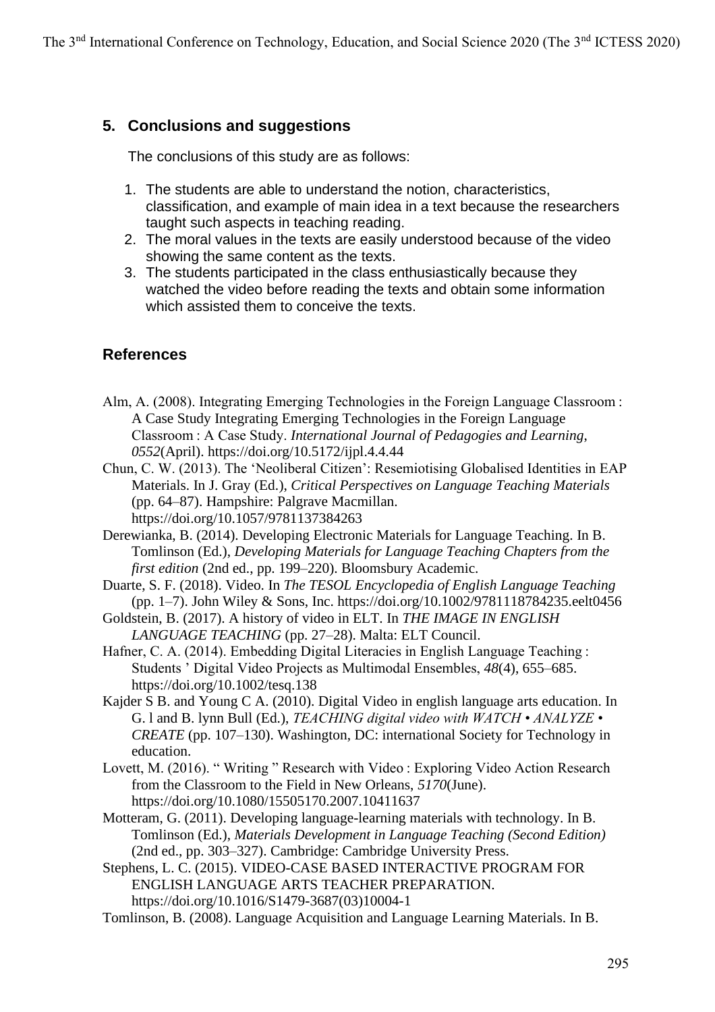# **5. Conclusions and suggestions**

The conclusions of this study are as follows:

- 1. The students are able to understand the notion, characteristics, classification, and example of main idea in a text because the researchers taught such aspects in teaching reading.
- 2. The moral values in the texts are easily understood because of the video showing the same content as the texts.
- 3. The students participated in the class enthusiastically because they watched the video before reading the texts and obtain some information which assisted them to conceive the texts.

# **References**

- Alm, A. (2008). Integrating Emerging Technologies in the Foreign Language Classroom : A Case Study Integrating Emerging Technologies in the Foreign Language Classroom : A Case Study. *International Journal of Pedagogies and Learning*, *0552*(April). https://doi.org/10.5172/ijpl.4.4.44
- Chun, C. W. (2013). The 'Neoliberal Citizen': Resemiotising Globalised Identities in EAP Materials. In J. Gray (Ed.), *Critical Perspectives on Language Teaching Materials* (pp. 64–87). Hampshire: Palgrave Macmillan. https://doi.org/10.1057/9781137384263
- Derewianka, B. (2014). Developing Electronic Materials for Language Teaching. In B. Tomlinson (Ed.), *Developing Materials for Language Teaching Chapters from the first edition* (2nd ed., pp. 199–220). Bloomsbury Academic.
- Duarte, S. F. (2018). Video. In *The TESOL Encyclopedia of English Language Teaching* (pp. 1–7). John Wiley & Sons, Inc. https://doi.org/10.1002/9781118784235.eelt0456
- Goldstein, B. (2017). A history of video in ELT. In *THE IMAGE IN ENGLISH LANGUAGE TEACHING* (pp. 27–28). Malta: ELT Council.
- Hafner, C. A. (2014). Embedding Digital Literacies in English Language Teaching : Students ' Digital Video Projects as Multimodal Ensembles, *48*(4), 655–685. https://doi.org/10.1002/tesq.138
- Kajder S B. and Young C A. (2010). Digital Video in english language arts education. In G. l and B. lynn Bull (Ed.), *TEACHING digital video with WATCH • ANALYZE • CREATE* (pp. 107–130). Washington, DC: international Society for Technology in education.
- Lovett, M. (2016). " Writing " Research with Video : Exploring Video Action Research from the Classroom to the Field in New Orleans, *5170*(June). https://doi.org/10.1080/15505170.2007.10411637
- Motteram, G. (2011). Developing language-learning materials with technology. In B. Tomlinson (Ed.), *Materials Development in Language Teaching (Second Edition)* (2nd ed., pp. 303–327). Cambridge: Cambridge University Press.
- Stephens, L. C. (2015). VIDEO-CASE BASED INTERACTIVE PROGRAM FOR ENGLISH LANGUAGE ARTS TEACHER PREPARATION. https://doi.org/10.1016/S1479-3687(03)10004-1
- Tomlinson, B. (2008). Language Acquisition and Language Learning Materials. In B.